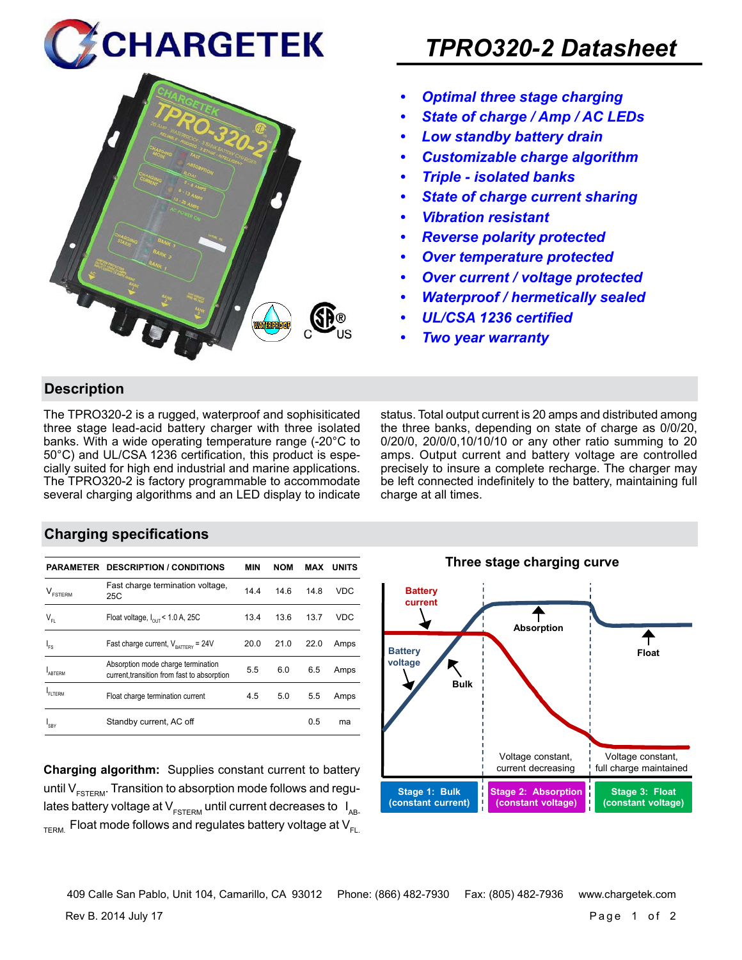# **CHARGETEK**



# *TPRO320-2 Datasheet*

- *• Optimal three stage charging*
- *• State of charge / Amp / AC LEDs*
- *• Low standby battery drain*
- *• Customizable charge algorithm*
- *• Triple isolated banks*
- *• State of charge current sharing*
- *• Vibration resistant*
- *• Reverse polarity protected*
- *• Over temperature protected*
- *• Over current / voltage protected*
- *• Waterproof / hermetically sealed*
- *• UL/CSA 1236 certified*
- *• Two year warranty*

## **Description**

The TPRO320-2 is a rugged, waterproof and sophisiticated three stage lead-acid battery charger with three isolated banks. With a wide operating temperature range (-20°C to 50°C) and UL/CSA 1236 certification, this product is especially suited for high end industrial and marine applications. The TPRO320-2 is factory programmable to accommodate several charging algorithms and an LED display to indicate status. Total output current is 20 amps and distributed among the three banks, depending on state of charge as 0/0/20, 0/20/0, 20/0/0,10/10/10 or any other ratio summing to 20 amps. Output current and battery voltage are controlled precisely to insure a complete recharge. The charger may be left connected indefinitely to the battery, maintaining full charge at all times.

## **Charging specifications**

| PARAMETER                            | <b>DESCRIPTION / CONDITIONS</b>                                                   | <b>MIN</b> | <b>NOM</b> | <b>MAX</b> | <b>UNITS</b> |
|--------------------------------------|-----------------------------------------------------------------------------------|------------|------------|------------|--------------|
| $\mathsf{V}_{\texttt{\tiny FSTERM}}$ | Fast charge termination voltage,<br>25C                                           | 14.4       | 14.6       | 14.8       | <b>VDC</b>   |
| $\mathsf{V}_{\mathsf{FL}}$           | Float voltage, $I_{\text{diff}}$ < 1.0 A, 25C                                     | 13.4       | 13.6       | 13.7       | <b>VDC</b>   |
| 'FS                                  | Fast charge current, $V_{\text{partrev}} = 24V$                                   | 20.0       | 21.0       | 22.0       | Amps         |
| <b>ARTERM</b>                        | Absorption mode charge termination<br>current, transition from fast to absorption | 5.5        | 6.0        | 6.5        | Amps         |
| FI TFRM                              | Float charge termination current                                                  | 4.5        | 5.0        | 5.5        | Amps         |
| 'SBY                                 | Standby current, AC off                                                           |            |            | 0.5        | ma           |

**Charging algorithm:** Supplies constant current to battery until  $V_{ESTFRM}$ . Transition to absorption mode follows and regulates battery voltage at  $V_{ESTERM}$  until current decreases to  $I_{AR}$  $T_{\text{ERM}}$  Float mode follows and regulates battery voltage at  $V_{\text{F1}}$ 



409 Calle San Pablo, Unit 104, Camarillo, CA 93012 Phone: (866) 482-7930 Fax: (805) 482-7936 www.chargetek.com

Rev B. 2014 July 17 Page 1 of 2